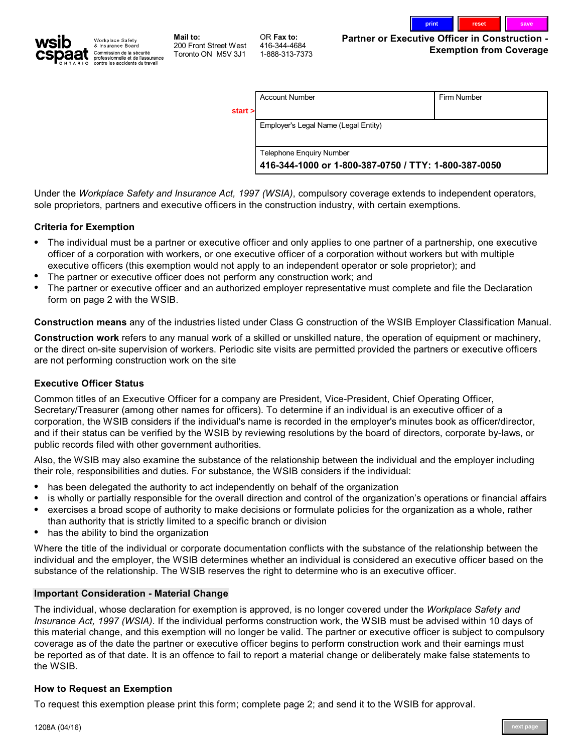

Workplace Safety<br>& Insurance Board Commission de la sécurité<br>professionnelle et de l'assurance<br>contre les accidents du travail

**Mail to: 200 Front Street West Toronto ON M5V 3J1**

**OR Fax to: 416-344-4684 1-888-313-7373**

**Partner or Executive Officer in Construction - Exemption from Coverage**

|                                                 | <b>Telephone Enquiry Number</b> |             |  |  |  |
|-------------------------------------------------|---------------------------------|-------------|--|--|--|
| start ><br>Employer's Legal Name (Legal Entity) |                                 |             |  |  |  |
|                                                 | <b>Account Number</b>           | Firm Number |  |  |  |

**Under the** *Workplace Safety and Insurance Act, 1997 (WSIA)***, compulsory coverage extends to independent operators, sole proprietors, partners and executive officers in the construction industry, with certain exemptions.**

## **Criteria for Exemption**

- **The individual must be a partner or executive officer and only applies to one partner of a partnership, one executive • officer of a corporation with workers, or one executive officer of a corporation without workers but with multiple executive officers (this exemption would not apply to an independent operator or sole proprietor); and**
- **The partner or executive officer does not perform any construction work; and •**
- **The partner or executive officer and an authorized employer representative must complete and file the Declaration form on page 2 with the WSIB. •**

**Construction means any of the industries listed under Class G construction of the WSIB Employer Classification Manual.**

**Construction work refers to any manual work of a skilled or unskilled nature, the operation of equipment or machinery, or the direct on-site supervision of workers. Periodic site visits are permitted provided the partners or executive officers are not performing construction work on the site**

### **Executive Officer Status**

**Common titles of an Executive Officer for a company are President, Vice-President, Chief Operating Officer, Secretary/Treasurer (among other names for officers). To determine if an individual is an executive officer of a corporation, the WSIB considers if the individual's name is recorded in the employer's minutes book as officer/director, and if their status can be verified by the WSIB by reviewing resolutions by the board of directors, corporate by-laws, or public records filed with other government authorities.**

**Also, the WSIB may also examine the substance of the relationship between the individual and the employer including their role, responsibilities and duties. For substance, the WSIB considers if the individual:**

- **has been delegated the authority to act independently on behalf of the organization •**
- **is wholly or partially responsible for the overall direction and control of the organization's operations or financial affairs •**
- **exercises a broad scope of authority to make decisions or formulate policies for the organization as a whole, rather • than authority that is strictly limited to a specific branch or division**
- **has the ability to bind the organization •**

**Where the title of the individual or corporate documentation conflicts with the substance of the relationship between the individual and the employer, the WSIB determines whether an individual is considered an executive officer based on the substance of the relationship. The WSIB reserves the right to determine who is an executive officer.**

### **Important Consideration - Material Change**

**The individual, whose declaration for exemption is approved, is no longer covered under the** *Workplace Safety and Insurance Act, 1997 (WSIA)***. If the individual performs construction work, the WSIB must be advised within 10 days of this material change, and this exemption will no longer be valid. The partner or executive officer is subject to compulsory coverage as of the date the partner or executive officer begins to perform construction work and their earnings must be reported as of that date. It is an offence to fail to report a material change or deliberately make false statements to the WSIB.** 

### **How to Request an Exemption**

**To request this exemption please print this form; complete page 2; and send it to the WSIB for approval.**